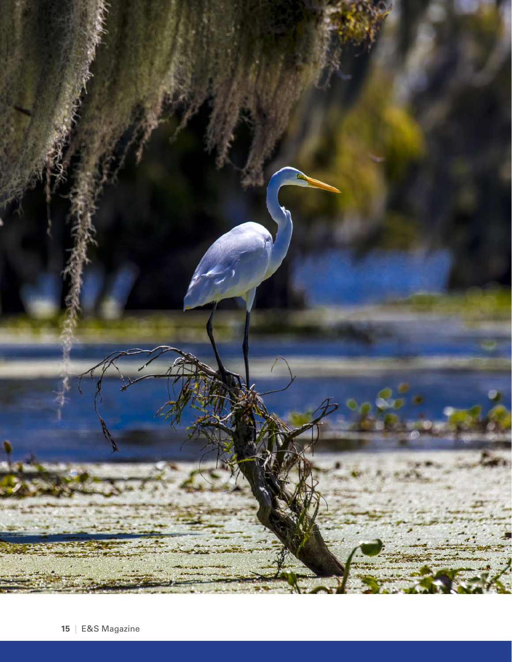